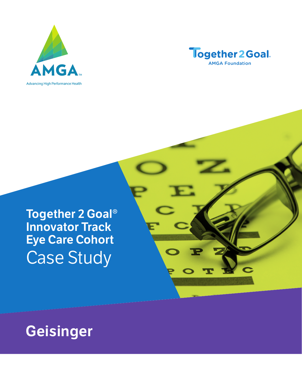



T

# **Together 2 Goal® Innovator Track Eye Care Cohort** Case Study

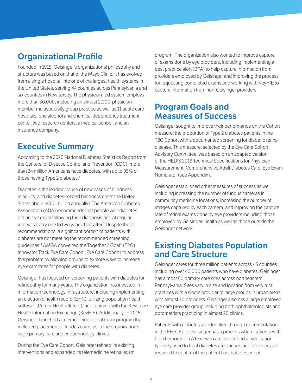## **Organizational Profile**

Founded in 1915, Geisinger's organizational philosophy and structure was based on that of the Mayo Clinic. It has evolved from a single hospital into one of the largest health systems in the United States, serving 44 counties across Pennsylvania and six counties in New Jersey. The physician-led system employs more than 30,000, including an almost 2,000-physician member multispecialty group practice as well as 11 acute care hospitals, one alcohol and chemical dependency treatment center, two research centers, a medical school, and an insurance company.

### **Executive Summary**

According to the 2020 National Diabetes Statistics Report from the Centers for Disease Control and Prevention (CDC), more than 34 million Americans have diabetes, with up to 95% of those having Type 2 diabetes.<sup>1</sup>

Diabetes is the leading cause of new cases of blindness in adults, and diabetes-related blindness costs the United States about \$500 million annually.<sup>2</sup> The American Diabetes Association (ADA) recommends that people with diabetes get an eye exam following their diagnosis and at regular intervals every one to two years thereafter.3 Despite these recommendations, a significant portion of patients with diabetes are not meeting the recommended screening guidelines.4 AMGA convened the Together 2 Goal® (T2G) Innovator Track Eye Care Cohort (Eye Care Cohort) to address this problem by allowing groups to explore ways to increase eye exam rates for people with diabetes.

Geisinger has focused on screening patients with diabetes for retinopathy for many years. The organization has invested in information technology infrastructure, including implementing an electronic health record (EHR), utilizing population health software (Cerner HealtheIntent), and teaming with the Keystone Health Information Exchange (KeyHIE). Additionally, in 2015, Geisinger launched a telemedicine retinal exam program that included placement of fundus cameras in the organization's large primary care and endocrinology clinics.

During the Eye Care Cohort, Geisinger refined its existing interventions and expanded its telemedicine retinal exam program. The organization also worked to improve capture of exams done by eye providers, including implementing a best practice alert (BPA) to help capture information from providers employed by Geisinger and improving the process for requesting completed exams and working with KeyHIE to capture information from non-Geisinger providers.

#### **Program Goals and Measures of Success**

Geisinger sought to improve their performance on the Cohort measure: the proportion of Type 2 diabetes patients in the T2G Cohort with a documented screening for diabetic retinal disease. This measure, selected by the Eye Care Cohort Advisory Committee, was based on an adapted version of the HEDIS 2018 Technical Specifications for Physician Measurement: Comprehensive Adult Diabetes Care: Eye Exam Numerator (see Appendix).

Geisinger established other measures of success as well, including increasing the number of fundus cameras in community medicine locations; increasing the number of images captured by each camera; and improving the capture rate of retinal exams done by eye providers including those employed by Geisinger Health as well as those outside the Geisinger network.

#### **Existing Diabetes Population and Care Structure**

Geisinger cares for three million patients across 45 counties including over 40,000 patients who have diabetes. Geisinger has almost 50 primary care sites across northeastern Pennsylvania. Sites vary in size and location from very rural practices with a single provider to large groups in urban areas with almost 20 providers. Geisinger also has a large employed eye care provider group including both ophthalmologists and optometrists practicing in almost 20 clinics.

Patients with diabetes are identified through documentation in the EHR, Epic. Geisinger has a process where patients with high hemoglobin A1c or who are prescribed a medication typically used to treat diabetes are queried and providers are required to confirm if the patient has diabetes or not.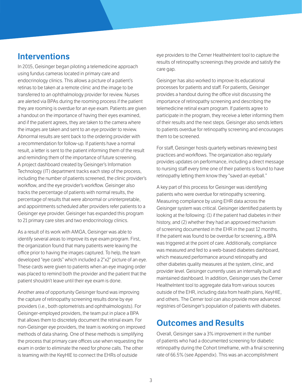#### **Interventions**

In 2015, Geisinger began piloting a telemedicine approach using fundus cameras located in primary care and endocrinology clinics. This allows a picture of a patient's retinas to be taken at a remote clinic and the image to be transferred to an ophthalmology provider for review. Nurses are alerted via BPAs during the rooming process if the patient they are rooming is overdue for an eye exam. Patients are given a handout on the importance of having their eyes examined, and if the patient agrees, they are taken to the camera where the images are taken and sent to an eye provider to review. Abnormal results are sent back to the ordering provider with a recommendation for follow-up. If patients have a normal result, a letter is sent to the patient informing them of the result and reminding them of the importance of future screening. A project dashboard created by Geisinger's Information Technology (IT) department tracks each step of the process, including the number of patients screened, the clinic provider's workflow, and the eye provider's workflow. Geisinger also tracks the percentage of patients with normal results, the percentage of results that were abnormal or uninterpretable, and appointments scheduled after providers refer patients to a Geisinger eye provider. Geisinger has expanded this program to 21 primary care sites and two endocrinology clinics.

As a result of its work with AMGA, Geisinger was able to identify several areas to improve its eye exam program. First, the organization found that many patients were leaving the office prior to having the images captured. To help, the team developed "eye cards" which included a 2"x2" picture of an eye. These cards were given to patients when an eye imaging order was placed to remind both the provider and the patient that the patient shouldn't leave until their eye exam is done.

Another area of opportunity Geisinger found was improving the capture of retinopathy screening results done by eye providers (i.e., both optometrists and ophthalmologists). For Geisinger-employed providers, the team put in place a BPA that allows them to discretely document the retinal exam. For non-Geisinger eye providers, the team is working on improved methods of data sharing. One of these methods is simplifying the process that primary care offices use when requesting the exam in order to eliminate the need for phone calls. The other is teaming with the KeyHIE to connect the EHRs of outside

eye providers to the Cerner HealtheIntent tool to capture the results of retinopathy screenings they provide and satisfy the care gap.

Geisinger has also worked to improve its educational processes for patients and staff. For patients, Geisinger provides a handout during the office visit discussing the importance of retinopathy screening and describing the telemedicine retinal exam program. If patients agree to participate in the program, they receive a letter informing them of their results and the next steps. Geisinger also sends letters to patients overdue for retinopathy screening and encourages them to be screened.

For staff, Geisinger hosts quarterly webinars reviewing best practices and workflows. The organization also regularly provides updates on performance, including a direct message to nursing staff every time one of their patients is found to have retinopathy letting them know they "saved an eyeball."

A key part of this process for Geisinger was identifying patients who were overdue for retinopathy screening. Measuring compliance by using EHR data across the Geisinger system was critical. Geisinger identified patients by looking at the following: (1) if the patient had diabetes in their history, and (2) whether they had an approved mechanism of screening documented in the EHR in the past 12 months. If the patient was found to be overdue for screening, a BPA was triggered at the point of care. Additionally, compliance was measured and fed to a web-based diabetes dashboard, which measured performance around retinopathy and other diabetes quality measures at the system, clinic, and provider level. Geisinger currently uses an internally built and maintained dashboard. In addition, Geisinger uses the Cerner HealtheIntent tool to aggregate data from various sources outside of the EHR, including data from health plans, KeyHIE, and others. The Cerner tool can also provide more advanced registries of Geisinger's population of patients with diabetes.

#### **Outcomes and Results**

Overall, Geisinger saw a 3% improvement in the number of patients who had a documented screening for diabetic retinopathy during the Cohort timeframe, with a final screening rate of 66.5% (see Appendix). This was an accomplishment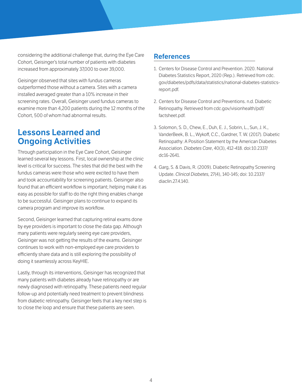considering the additional challenge that, during the Eye Care Cohort, Geisinger's total number of patients with diabetes increased from approximately 37,000 to over 39,000.

Geisinger observed that sites with fundus cameras outperformed those without a camera. Sites with a camera installed averaged greater than a 10% increase in their screening rates. Overall, Geisinger used fundus cameras to examine more than 4,200 patients during the 12 months of the Cohort, 500 of whom had abnormal results.

#### **Lessons Learned and Ongoing Activities**

Through participation in the Eye Care Cohort, Geisinger learned several key lessons. First, local ownership at the clinic level is critical for success. The sites that did the best with the fundus cameras were those who were excited to have them and took accountability for screening patients. Geisinger also found that an efficient workflow is important; helping make it as easy as possible for staff to do the right thing enables change to be successful. Geisinger plans to continue to expand its camera program and improve its workflow.

Second, Geisinger learned that capturing retinal exams done by eye providers is important to close the data gap. Although many patients were regularly seeing eye care providers, Geisinger was not getting the results of the exams. Geisinger continues to work with non-employed eye care providers to efficiently share data and is still exploring the possibility of doing it seamlessly across KeyHIE.

Lastly, through its interventions, Geisinger has recognized that many patients with diabetes already have retinopathy or are newly diagnosed with retinopathy. These patients need regular follow-up and potentially need treatment to prevent blindness from diabetic retinopathy. Geisinger feels that a key next step is to close the loop and ensure that these patients are seen.

#### **References**

- 1. Centers for Disease Control and Prevention. 2020. National Diabetes Statistics Report, 2020 (Rep.). Retrieved from cdc. gov/diabetes/pdfs/data/statistics/national-diabetes-statisticsreport.pdf.
- 2. Centers for Disease Control and Preventions. n.d. Diabetic Retinopathy. Retrieved from cdc.gov/visionhealth/pdf/ factsheet.pdf.
- 3. Solomon, S. D., Chew, E., Duh, E. J., Sobrin, L., Sun, J. K., VanderBeek, B. L., Wykoff, C.C., Gardner, T. W. (2017). Diabetic Retinopathy: A Position Statement by the American Diabetes Association. *Diabetes Care*, 40(3), 412-418. doi:10.2337/ dc16-2641.
- 4. Garg, S. & Davis, R. (2009). Diabetic Retinopathy Screening Update. *Clinical Diabetes,* 27(4), 140-145; doi: 10.2337/ diaclin.27.4.140.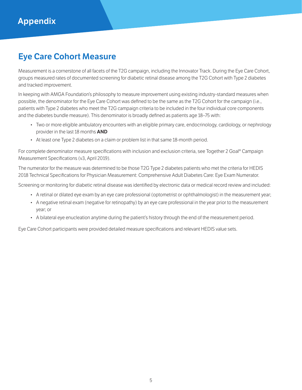## **Eye Care Cohort Measure**

Measurement is a cornerstone of all facets of the T2G campaign, including the Innovator Track. During the Eye Care Cohort, groups measured rates of documented screening for diabetic retinal disease among the T2G Cohort with Type 2 diabetes and tracked improvement.

In keeping with AMGA Foundation's philosophy to measure improvement using existing industry-standard measures when possible, the denominator for the Eye Care Cohort was defined to be the same as the T2G Cohort for the campaign (i.e., patients with Type 2 diabetes who meet the T2G campaign criteria to be included in the four individual core components and the diabetes bundle measure). This denominator is broadly defined as patients age 18–75 with:

- Two or more eligible ambulatory encounters with an eligible primary care, endocrinology, cardiology, or nephrology provider in the last 18 months **AND**
- At least one Type 2 diabetes on a claim or problem list in that same 18-month period.

For complete denominator measure specifications with inclusion and exclusion criteria, see Together 2 Goal® Campaign Measurement Specifications (v3, April 2019).

The numerator for the measure was determined to be those T2G Type 2 diabetes patients who met the criteria for HEDIS 2018 Technical Specifications for Physician Measurement: Comprehensive Adult Diabetes Care: Eye Exam Numerator.

Screening or monitoring for diabetic retinal disease was identified by electronic data or medical record review and included:

- A retinal or dilated eye exam by an eye care professional (optometrist or ophthalmologist) in the measurement year;
- A negative retinal exam (negative for retinopathy) by an eye care professional in the year prior to the measurement year; or
- A bilateral eye enucleation anytime during the patient's history through the end of the measurement period.

Eye Care Cohort participants were provided detailed measure specifications and relevant HEDIS value sets.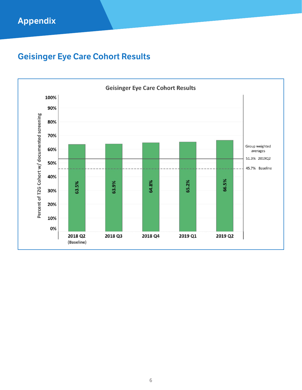# **Appendix**

# **Geisinger Eye Care Cohort Results**